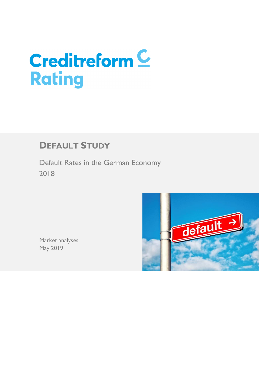# **Creditreform C Rating**

# **DEFAULT STUDY**

Default Rates in the German Economy 2018



Market analyses May 2019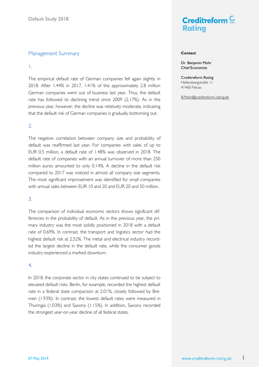### Management Summary

#### 1.

The empirical default rate of German companies fell again slightly in 2018. After 1.44% in 2017, 1.41% of the approximately 2.8 million German companies went out of business last year. Thus, the default rate has followed its declining trend since 2009 (2.17%). As in the previous year, however, the decline was relatively moderate, indicating that the default risk of German companies is gradually bottoming out.

#### 2.

The negative correlation between company size and probability of default was reaffirmed last year. For companies with sales of up to EUR 0.5 million, a default rate of 1.48% was observed in 2018. The default rate of companies with an annual turnover of more than 250 million euros amounted to only 0.14%. A decline in the default risk compared to 2017 was noticed in almost all company size segments. The most significant improvement was identified for small companies with annual sales between EUR 10 and 20 and EUR 20 and 50 million.

## 3.

The comparison of individual economic sectors shows significant differences in the probability of default. As in the previous year, the primary industry was the most solidly positioned in 2018 with a default rate of 0.69%. In contrast, the transport and logistics sector had the highest default risk at 2.52%. The metal and electrical industry recorded the largest decline in the default rate, while the consumer goods industry experienced a marked downturn.

#### 4.

In 2018, the corporate sector in city states continued to be subject to elevated default risks. Berlin, for example, recorded the highest default rate in a federal state comparison at 2.01%, closely followed by Bremen (1.93%). In contrast, the lowest default rates were measured in Thuringia (1.03%) and Saxony (1.15%). In addition, Saxony recorded the strongest year-on-year decline of all federal states.



#### **Contact**

Dr. Benjamin Mohr Chief Economist

Creditreform Rating Hellersbergstraße 11 41460 Neuss

B.Mohr@creditreform-rating.de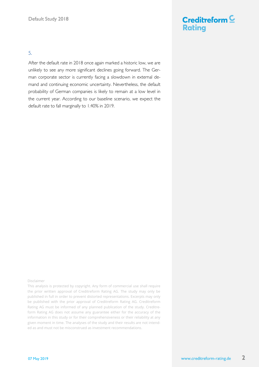## 5.

After the default rate in 2018 once again marked a historic low, we are unlikely to see any more significant declines going forward. The German corporate sector is currently facing a slowdown in external demand and continuing economic uncertainty. Nevertheless, the default probability of German companies is likely to remain at a low level in the current year. According to our baseline scenario, we expect the default rate to fall marginally to 1.40% in 2019.

#### Disclaimer

This analysis is protected by copyright. Any form of commercial use shall require the prior written approval of Creditreform Rating AG. The study may only be published in full in order to prevent distorted representations. Excerpts may only be published with the prior approval of Creditreform Rating AG. Creditreform Rating AG must be informed of any planned publication of the study. Creditreform Rating AG does not assume any guarantee either for the accuracy of the information in this study or for their comprehensiveness or their reliability at any given moment in time. The analyses of the study and their results are not intended as and must not be misconstrued as investment recommendations.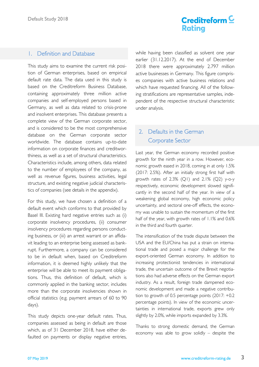## 1. Definition and Database

This study aims to examine the current risk position of German enterprises, based on empirical default rate data. The data used in this study is based on the Creditreform Business Database, containing approximately three million active companies and self-employed persons based in Germany, as well as data related to crisis-prone and insolvent enterprises. This database presents a complete view of the German corporate sector, and is considered to be the most comprehensive database on the German corporate sector worldwide. The database contains up-to-date information on corporate finances and creditworthiness, as well as a set of structural characteristics. Characteristics include, among others, data related to the number of employees of the company, as well as revenue figures, business activities, legal structure, and existing negative judicial characteristics of companies (see details in the appendix).

For this study, we have chosen a definition of a default event which conforms to that provided by Basel III. Existing hard negative entries such as (i) corporate insolvency procedures, (ii) consumer insolvency procedures regarding persons conducting business, or (iii) an arrest warrant or an affidavit leading to an enterprise being assessed as bankrupt. Furthermore, a company can be considered to be in default when, based on Creditreform information, it is deemed highly unlikely that the enterprise will be able to meet its payment obligations. Thus, this definition of default, which is commonly applied in the banking sector, includes more than the corporate insolvencies shown in official statistics (e.g. payment arrears of 60 to 90 days).

This study depicts one-year default rates. Thus, companies assessed as being in default are those which, as of 31 December 2018, have either defaulted on payments or display negative entries, while having been classified as solvent one year earlier (31.12.2017). At the end of December 2018 there were approximately 2.797 million active businesses in Germany. This figure comprises companies with active business relations and which have requested financing. All of the following stratifications are representative samples, independent of the respective structural characteristic under analysis.

## 2. Defaults in the German Corporate Sector

Last year, the German economy recorded positive growth for the ninth year in a row. However, economic growth eased in 2018, coming in at only 1.5% (2017: 2.5%). After an initially strong first half with growth rates of  $2.3\%$  (Q1) and  $2.1\%$  (Q2) y-o-y respectively, economic development slowed significantly in the second half of the year. In view of a weakening global economy, high economic policy uncertainty, and sectoral one-off effects, the economy was unable to sustain the momentum of the first half of the year, with growth rates of 1.1% and 0.6% in the third and fourth quarter.

The intensification of the trade dispute between the USA and the EU/China has put a strain on international trade and posed a major challenge for the export-oriented German economy. In addition to increasing protectionist tendencies in international trade, the uncertain outcome of the Brexit negotiations also had adverse effects on the German export industry. As a result, foreign trade dampened economic development and made a negative contribution to growth of 0.5 percentage points (2017: +0.2 percentage points). In view of the economic uncertainties in international trade, exports grew only slightly by 2.0%, while imports expanded by 3.3%.

Thanks to strong domestic demand, the German economy was able to grow solidly – despite the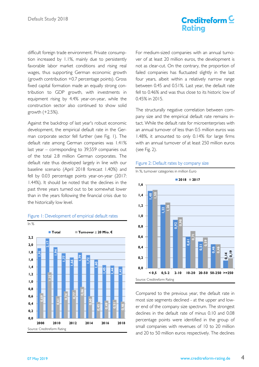# Creditreform  $\underline{\mathsf{C}}$ **Ratina**

difficult foreign trade environment. Private consumption increased by 1.1%, mainly due to persistently favorable labor market conditions and rising real wages, thus supporting German economic growth (growth contribution +0.7 percentage points). Gross fixed capital formation made an equally strong contribution to GDP growth, with investments in equipment rising by 4.4% year-on-year, while the construction sector also continued to show solid growth (+2.5%).

Against the backdrop of last year's robust economic development, the empirical default rate in the German corporate sector fell further (see Fig. 1). The default rate among German companies was 1.41% last year – corresponding to 39,559 companies out of the total 2.8 million German corporates. The default rate thus developed largely in line with our baseline scenario (April 2018 forecast 1.40%) and fell by 0.03 percentage points year-on-year (2017: 1.44%). It should be noted that the declines in the past three years turned out to be somewhat lower than in the years following the financial crisis due to the historically low level.



## Figure 1: Development of empirical default rates

For medium-sized companies with an annual turnover of at least 20 million euros, the development is not as clear-cut. On the contrary, the proportion of failed companies has fluctuated slightly in the last four years, albeit within a relatively narrow range between 0.45 and 0.51%. Last year, the default rate fell to 0.46% and was thus close to its historic low of 0.45% in 2015.

The structurally negative correlation between company size and the empirical default rate remains intact. While the default rate for microenterprises with an annual turnover of less than 0.5 million euros was 1.48%, it amounted to only 0.14% for large firms with an annual turnover of at least 250 million euros (see Fig. 2).

#### Figure 2: Default rates by company size



Compared to the previous year, the default rate in most size segments declined - at the upper and lower end of the company size spectrum. The strongest declines in the default rate of minus 0.10 and 0.08 percentage points were identified in the group of small companies with revenues of 10 to 20 million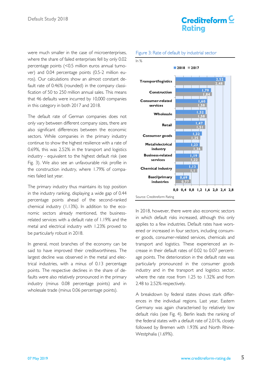were much smaller in the case of microenterprises, where the share of failed enterprises fell by only 0.02 percentage points (<0.5 million euros annual turnover) and 0.04 percentage points (0.5-2 million euros). Our calculations show an almost constant default rate of 0.46% (rounded) in the company classification of 50 to 250 million annual sales. This means that 46 defaults were incurred by 10,000 companies in this category in both 2017 and 2018.

The default rate of German companies does not only vary between different company sizes, there are also significant differences between the economic sectors. While companies in the primary industry continue to show the highest resilience with a rate of 0.69%, this was 2.52% in the transport and logistics industry - equivalent to the highest default risk (see Fig. 3). We also see an unfavourable risk profile in the construction industry, where 1.79% of companies failed last year.

The primary industry thus maintains its top position in the industry ranking, displaying a wide gap of 0.44 percentage points ahead of the second-ranked chemical industry (1.13%). In addition to the economic sectors already mentioned, the businessrelated services with a default rate of 1.19% and the metal and electrical industry with 1.23% proved to be particularly robust in 2018.

In general, most branches of the economy can be said to have improved their creditworthiness. The largest decline was observed in the metal and electrical industries, with a minus of 0.13 percentage points. The respective declines in the share of defaults were also relatively pronounced in the primary industry (minus 0.08 percentage points) and in wholesale trade (minus 0.06 percentage points).

#### Figure 3: Rate of default by industrial sector

Creditreform<sup>C</sup>

**Rating** 



In 2018, however, there were also economic sectors in which default risks increased, although this only applies to a few industries. Default rates have worsened or increased in four sectors, including consumer goods, consumer-related services, chemicals and transport and logistics. These experienced an increase in their default rates of 0.02 to 0.07 percentage points. The deterioration in the default rate was particularly pronounced in the consumer goods industry and in the transport and logistics sector, where the rate rose from 1.25 to 1.32% and from 2.48 to 2.52% respectively.

A breakdown by federal states shows stark differences in the individual regions. Last year, Eastern Germany was again characterised by relatively low default risks (see Fig. 4). Berlin leads the ranking of the federal states with a default rate of 2.01%, closely followed by Bremen with 1.93% and North Rhine-Westphalia (1.69%).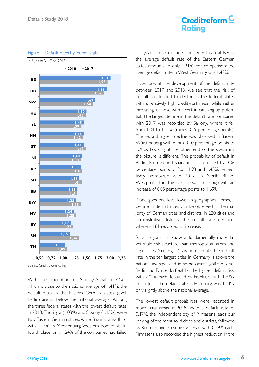# Creditreform  $\underline{\mathsf{C}}$ **Ratina**



Figure 4: Default rates by federal state

With the exception of Saxony-Anhalt (1.44%), which is close to the national average of 1.41%, the default rates in the Eastern German states (excl. Berlin) are all below the national average. Among the three federal states with the lowest default rates in 2018, Thuringia (1.03%) and Saxony (1.15%) were two Eastern German states, while Bavaria ranks third with 1.17%. In Mecklenburg-Western Pomerania, in fourth place, only 1.24% of the companies had failed

last year. If one excludes the federal capital Berlin, the average default rate of the Eastern German states amounts to only 1.21%. For comparison: the average default rate in West Germany was 1.42%.

If we look at the development of the default rate between 2017 and 2018, we see that the risk of default has tended to decline in the federal states with a relatively high creditworthiness, while rather increasing in those with a certain catching-up potential. The largest decline in the default rate compared with 2017 was recorded by Saxony, where it fell from 1.34 to 1.15% (minus 0.19 percentage points). The second-highest decline was observed in Baden-Württemberg with minus 0.10 percentage points to 1.28%. Looking at the other end of the spectrum, the picture is different. The probability of default in Berlin, Bremen and Saarland has increased by 0.06 percentage points to 2.01, 1.93 and 1.45%, respectively, compared with 2017. In North Rhine-Westphalia, too, the increase was quite high with an increase of 0.05 percentage points to 1.69%.

If one goes one level lower in geographical terms, a decline in default rates can be observed in the majority of German cities and districts. In 220 cities and administrative districts, the default rate declined, whereas 181 recorded an increase.

Rural regions still show a fundamentally more favourable risk structure than metropolitan areas and large cities (see Fig. 5). As an example, the default rate in the ten largest cities in Germany is above the national average, and in some cases significantly so. Berlin and Düsseldorf exhibit the highest default risk, with 2.01% each, followed by Frankfurt with 1.93%. In contrast, the default rate in Hamburg was 1.44%, only slightly above the national average.

The lowest default probabilities were recorded in more rural areas in 2018. With a default rate of 0.47%, the independent city of Pirmasens leads our ranking of the most solid cities and districts, followed by Kronach and Freyung-Grafenau with 0.59% each. Pirmasens also recorded the highest reduction in the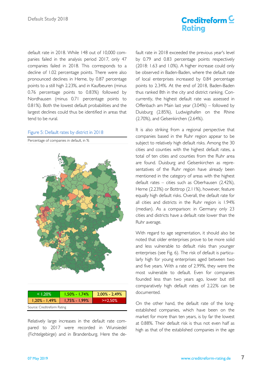default rate in 2018. While 148 out of 10,000 companies failed in the analysis period 2017, only 47 companies failed in 2018. This corresponds to a decline of 1.02 percentage points. There were also pronounced declines in Herne, by 0.87 percentage points to a still high 2.23%, and in Kaufbeuren (minus 0.76 percentage points to 0.83%) followed by Nordhausen (minus 0.71 percentage points to 0.81%). Both the lowest default probabilities and the largest declines could thus be identified in areas that tend to be rural.

#### Figure 5: Default rates by district in 2018

Percentage of companies in default, in %



Relatively large increases in the default rate compared to 2017 were recorded in Wunsiedel (Fichtelgebirge) and in Brandenburg. Here the default rate in 2018 exceeded the previous year's level by 0.79 and 0.83 percentage points respectively (2018: 1.63 and 1.0%). A higher increase could only be observed in Baden-Baden, where the default rate of local enterprises increased by 0.84 percentage points to 2.34%. At the end of 2018, Baden-Baden thus ranked 8th in the city and district ranking. Concurrently, the highest default rate was assessed in Offenbach am Main last year (3.04%) – followed by Duisburg (2.85%), Ludwigshafen on the Rhine (2.70%), and Gelsenkirchen (2.64%).

It is also striking from a regional perspective that companies based in the Ruhr region appear to be subject to relatively high default risks. Among the 30 cities and counties with the highest default rates, a total of ten cities and counties from the Ruhr area are found. Duisburg and Gelsenkirchen as representatives of the Ruhr region have already been mentioned in the category of areas with the highest default rates – cities such as Oberhausen (2.42%), Herne (2.23%) or Bottrop (2.11%), however, feature equally high default risks. Overall, the default rate for all cities and districts in the Ruhr region is 1.94% (median). As a comparison: in Germany only 23 cities and districts have a default rate lower than the Ruhr average.

With regard to age segmentation, it should also be noted that older enterprises prove to be more solid and less vulnerable to default risks than younger enterprises (see Fig. 6). The risk of default is particularly high for young enterprises aged between two and five years. With a rate of 2.99%, they were the most vulnerable to default. Even for companies founded less than two years ago, lower but still comparatively high default rates of 2.22% can be documented.

On the other hand, the default rate of the longestablished companies, which have been on the market for more than ten years, is by far the lowest at 0.88%. Their default risk is thus not even half as high as that of the established companies in the age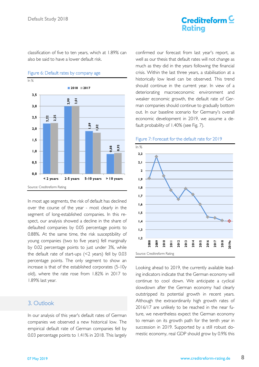classification of five to ten years, which at 1.89% can also be said to have a lower default risk.



#### Figure 6: Default rates by company age

In most age segments, the risk of default has declined over the course of the year - most clearly in the segment of long-established companies. In this respect, our analysis showed a decline in the share of defaulted companies by 0.05 percentage points to 0.88%. At the same time, the risk susceptibility of young companies (two to five years) fell marginally by 0.02 percentage points to just under 3%, while the default rate of start-ups (<2 years) fell by 0.03 percentage points. The only segment to show an increase is that of the established corporates (5-10y old), where the rate rose from 1.82% in 2017 to 1.89% last year.

## 3. Outlook

In our analysis of this year's default rates of German companies we observed a new historical low. The empirical default rate of German companies fell by 0.03 percentage points to 1.41% in 2018. This largely

confirmed our forecast from last year's report, as well as our thesis that default rates will not change as much as they did in the years following the financial crisis. Within the last three years, a stabilisation at a historically low level can be observed. This trend should continue in the current year. In view of a deteriorating macroeconomic environment and weaker economic growth, the default rate of German companies should continue to gradually bottom out. In our baseline scenario for Germany's overall economic development in 2019, we assume a default probability of 1.40% (see Fig. 7).

#### Figure 7: Forecast for the default rate for 2019



Looking ahead to 2019, the currently available leading indicators indicate that the German economy will continue to cool down. We anticipate a cyclical slowdown after the German economy had clearly outstripped its potential growth in recent years. Although the extraordinarily high growth rates of 2016/17 are unlikely to be reached in the near future, we nevertheless expect the German economy to remain on its growth path for the tenth year in succession in 2019. Supported by a still robust domestic economy, real GDP should grow by 0.9% this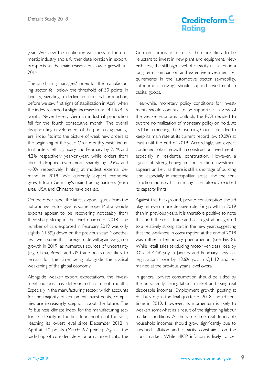# Creditreform  $\underline{\mathsf{C}}$ **Rating**

year. We view the continuing weakness of the domestic industry and a further deterioration in export prospects as the main reason for slower growth in 2019.

The purchasing managers' index for the manufacturing sector fell below the threshold of 50 points in January, signaling a decline in industrial production, before we saw first signs of stabilization in April, when the index recorded a slight increase from 44.1 to 44.5 points. Nevertheless, German industrial production fell for the fourth consecutive month. The overall disappointing development of the purchasing managers' index fits into the picture of weak new orders at the beginning of the year. On a monthly basis, industrial orders fell in January and February by 2.1% and 4.2% respectively year-on-year, while orders from abroad dropped even more sharply by -2.6% and -6.0% respectively, hinting at modest external demand in 2019. We currently expect economic growth from Germany's main trading partners (euro area, USA and China) to have peaked.

On the other hand, the latest export figures from the automotive sector give us some hope. Motor vehicle exports appear to be recovering noticeably from their sharp slump in the third quarter of 2018. The number of cars exported in February 2019 was only slightly (-1.5%) down on the previous year. Nonetheless, we assume that foreign trade will again weigh on growth in 2019, as numerous sources of uncertainty (e.g. China, Brexit, and US trade policy) are likely to remain for the time being alongside the cyclical weakening of the global economy.

Alongside weaker export expectations, the investment outlook has deteriorated in recent months. Especially in the manufacturing sector, which accounts for the majority of equipment investments, companies are increasingly sceptical about the future. The ifo business climate index for the manufacturing sector fell steadily in the first four months of this year, reaching its lowest level since December 2012 in April at 4.0 points (March: 6.7 points). Against the backdrop of considerable economic uncertainty, the German corporate sector is therefore likely to be reluctant to invest in new plant and equipment. Nevertheless, the still high level of capacity utilization in a long term comparison and extensive investment requirements in the automotive sector (e-mobility, autonomous driving) should support investment in capital goods.

Meanwhile, monetary policy conditions for investments should continue to be supportive. In view of the weaker economic outlook, the ECB decided to put the normalization of monetary policy on hold. At its March meeting, the Governing Council decided to keep its main rate at its current record low (0.0%) at least until the end of 2019. Accordingly, we expect continued robust growth in construction investment especially in residential construction. However, a significant strengthening in construction investment appears unlikely, as there is still a shortage of building land, especially in metropolitan areas, and the construction industry has in many cases already reached its capacity limits.

Against this background, private consumption should play an even more decisive role for growth in 2019 than in previous years. It is therefore positive to note that both the retail trade and car registrations got off to a relatively strong start in the new year, suggesting that the weakness in consumption at the end of 2018 was rather a temporary phenomenon (see Fig. 8). While retail sales (excluding motor vehicles) rose by 3.0 and 4.4% yoy in January and February, new car registrations rose by 13.6% yoy in Q1-19 and remained at the previous year's level overall.

In general, private consumption should be aided by the persistently strong labour market and rising real disposable incomes. Employment growth, posting at +1.1% y-o-y in the final quarter of 2018, should continue in 2019. However, its momentum is likely to weaken somewhat as a result of the tightening labour market conditions. At the same time, real disposable household incomes should grow significantly due to subdued inflation and capacity constraints on the labor market. While HICP inflation is likely to de-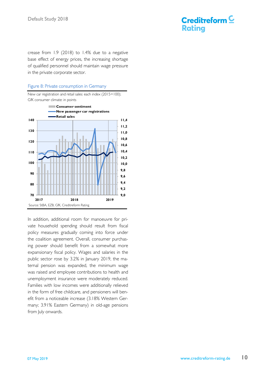

crease from 1.9 (2018) to 1.4% due to a negative base effect of energy prices, the increasing shortage of qualified personnel should maintain wage pressure in the private corporate sector.

#### Figure 8: Private consumption in Germany

New car registration and retail sales: each index (2015=100); GfK consumer climate: in points



In addition, additional room for manoeuvre for private household spending should result from fiscal policy measures gradually coming into force under the coalition agreement. Overall, consumer purchasing power should benefit from a somewhat more expansionary fiscal policy. Wages and salaries in the public sector rose by 3.2% in January 2019, the maternal pension was expanded, the minimum wage was raised and employee contributions to health and unemployment insurance were moderately reduced. Families with low incomes were additionally relieved in the form of free childcare, and pensioners will benefit from a noticeable increase (3.18% Western Germany; 3.91% Eastern Germany) in old-age pensions from July onwards.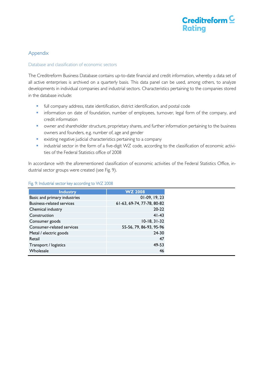

## Appendix

#### Database and classification of economic sectors

The Creditreform Business Database contains up-to-date financial and credit information, whereby a data set of all active enterprises is archived on a quarterly basis. This data panel can be used, among others, to analyze developments in individual companies and industrial sectors. Characteristics pertaining to the companies stored in the database include:

- full company address, state identification, district identification, and postal code
- **·** information on date of foundation, number of employees, turnover, legal form of the company, and credit information
- owner and shareholder structure, proprietary shares, and further information pertaining to the business owners and founders, e.g. number of, age and gender
- existing negative judicial characteristics pertaining to a company
- industrial sector in the form of a five-digit WZ code, according to the classification of economic activities of the Federal Statistics office of 2008

In accordance with the aforementioned classification of economic activities of the Federal Statistics Office, industrial sector groups were created (see Fig. 9).

| <b>Industry</b>                  | <b>WZ 2008</b>             |
|----------------------------------|----------------------------|
| Basic and primary industries     | $01-09, 19, 23$            |
| <b>Business-related services</b> | 61-63, 69-74, 77-78, 80-82 |
| Chemical industry                | $20 - 22$                  |
| Construction                     | $41 - 43$                  |
| Consumer goods                   | $10-18, 31-32$             |
| Consumer-related services        | 55-56, 79, 86-93, 95-96    |
| Metal / electric goods           | $24 - 30$                  |
| Retail                           | 47                         |
| Transport / logistics            | 49-53                      |
| Wholesale                        | 46                         |

#### Fig. 9: Industrial sector key according to WZ 2008